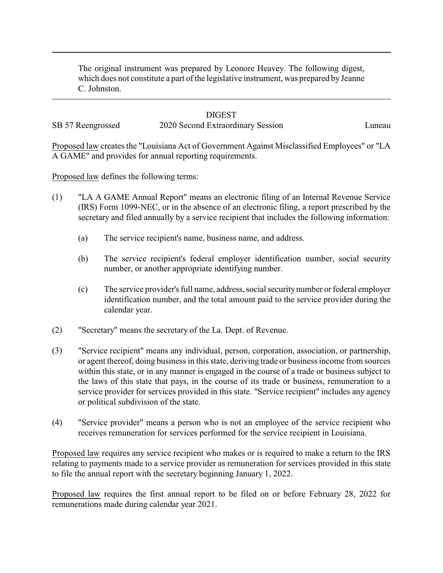The original instrument was prepared by Leonore Heavey. The following digest, which does not constitute a part of the legislative instrument, was prepared by Jeanne C. Johnston.

## **DIGEST**

SB 57 Reengrossed 2020 Second Extraordinary Session Luneau

Proposed law creates the "Louisiana Act of Government Against Misclassified Employees" or "LA A GAME" and provides for annual reporting requirements.

Proposed law defines the following terms:

- (1) "LA A GAME Annual Report" means an electronic filing of an Internal Revenue Service (IRS) Form 1099-NEC, or in the absence of an electronic filing, a report prescribed by the secretary and filed annually by a service recipient that includes the following information:
	- (a) The service recipient's name, business name, and address.
	- (b) The service recipient's federal employer identification number, social security number, or another appropriate identifying number.
	- (c) The service provider's full name, address, social securitynumber or federal employer identification number, and the total amount paid to the service provider during the calendar year.
- (2) "Secretary" means the secretary of the La. Dept. of Revenue.
- (3) "Service recipient" means any individual, person, corporation, association, or partnership, or agent thereof, doing business in this state, deriving trade or business income from sources within this state, or in any manner is engaged in the course of a trade or business subject to the laws of this state that pays, in the course of its trade or business, remuneration to a service provider for services provided in this state. "Service recipient" includes any agency or political subdivision of the state.
- (4) "Service provider" means a person who is not an employee of the service recipient who receives remuneration for services performed for the service recipient in Louisiana.

Proposed law requires any service recipient who makes or is required to make a return to the IRS relating to payments made to a service provider as remuneration for services provided in this state to file the annual report with the secretary beginning January 1, 2022.

Proposed law requires the first annual report to be filed on or before February 28, 2022 for remunerations made during calendar year 2021.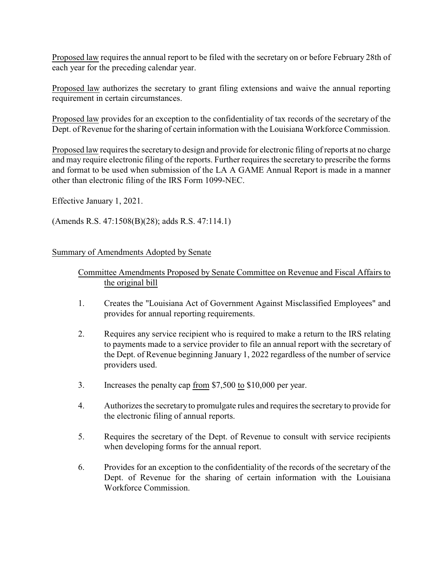Proposed law requires the annual report to be filed with the secretary on or before February 28th of each year for the preceding calendar year.

Proposed law authorizes the secretary to grant filing extensions and waive the annual reporting requirement in certain circumstances.

Proposed law provides for an exception to the confidentiality of tax records of the secretary of the Dept. of Revenue for the sharing of certain information with the Louisiana Workforce Commission.

Proposed law requires the secretaryto design and provide for electronic filing of reports at no charge and may require electronic filing of the reports. Further requires the secretary to prescribe the forms and format to be used when submission of the LA A GAME Annual Report is made in a manner other than electronic filing of the IRS Form 1099-NEC.

Effective January 1, 2021.

(Amends R.S. 47:1508(B)(28); adds R.S. 47:114.1)

## Summary of Amendments Adopted by Senate

## Committee Amendments Proposed by Senate Committee on Revenue and Fiscal Affairs to the original bill

- 1. Creates the "Louisiana Act of Government Against Misclassified Employees" and provides for annual reporting requirements.
- 2. Requires any service recipient who is required to make a return to the IRS relating to payments made to a service provider to file an annual report with the secretary of the Dept. of Revenue beginning January 1, 2022 regardless of the number of service providers used.
- 3. Increases the penalty cap from \$7,500 to \$10,000 per year.
- 4. Authorizes the secretaryto promulgate rules and requires the secretary to provide for the electronic filing of annual reports.
- 5. Requires the secretary of the Dept. of Revenue to consult with service recipients when developing forms for the annual report.
- 6. Provides for an exception to the confidentiality of the records of the secretary of the Dept. of Revenue for the sharing of certain information with the Louisiana Workforce Commission.